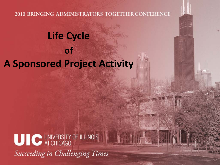## **Life Cycle of A Sponsored Project Activity Distance**

UIC UNIVERSITY OF ILLINOIS **Succeeding in Challenging Times**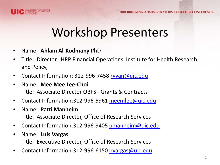



# Workshop Presenters

- • Name: **Ahlam Al-Kodmany** PhD
- **•** Title: Director, IHRP Financial Operations Institute for Health Research and Policy,
- Contact Information: 312-996-7458 ryyan@uic.edu
- • Name: **Mee Mee Lee-Choi**  Title: Associate Director OBFS - Grants & Contracts
- Contact Information:312-996-5961 [meemlee@uic.edu](mailto:meemlee@uic.edu)
- • Name: **Patti Manheim**  Title: Associate Director, Office of Research Services
- Contact Information:312-996-9405 pmanheim@uic.edu
- • Name: **Luis Vargas**  Title: Executive Director, Office of Research Services
- Contact Information:312-996-6150 rvargas@uic.edu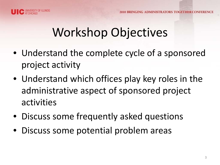

# Workshop Objectives

- Understand the complete cycle of a sponsored project activity
- Understand which offices play key roles in the administrative aspect of sponsored project activities
- Discuss some frequently asked questions
- Discuss some potential problem areas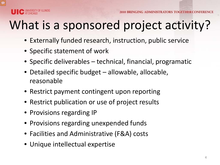# What is a sponsored project activity?

- Externally funded research, instruction, public service
- Specific statement of work
- Specific deliverables technical, financial, programatic
- Detailed specific budget allowable, allocable, reasonable
- Restrict payment contingent upon reporting
- Restrict publication or use of project results
- Provisions regarding IP
- Provisions regarding unexpended funds
- Facilities and Administrative (F&A) costs
- Unique intellectual expertise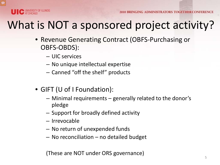

# What is NOT a sponsored project activity?

- Revenue Generating Contract (OBFS-Purchasing or OBFS-OBDS):
	- UIC services
	- No unique intellectual expertise
	- Canned "off the shelf" products
- GIFT (U of I Foundation):
	- – Minimal requirements generally related to the donor's pledge
	- Support for broadly defined activity
	- Irrevocable
	- No return of unexpended funds
	- No reconciliation no detailed budget

(These are NOT under ORS governance)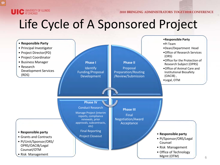

# Life Cycle of A Sponsored Project

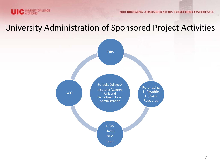

#### University Administration of Sponsored Project Activities

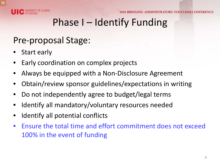

## Phase I – Identify Funding

## Pre-proposal Stage:

- Start early
- Early coordination on complex projects
- Always be equipped with a Non-Disclosure Agreement
- Obtain/review sponsor guidelines/expectations in writing
- Do not independently agree to budget/legal terms
- Identify all mandatory/voluntary resources needed
- Identify all potential conflicts
- • Ensure the total time and effort commitment does not exceed 100% in the event of funding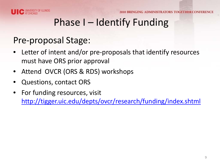

## Phase I – Identify Funding

## Pre-proposal Stage:

- • Letter of intent and/or pre-proposals that identify resources must have ORS prior approval
- Attend OVCR (ORS & RDS) workshops
- Questions, contact ORS
- For funding resources, visit [http://tigger.uic.edu/depts/ovcr/research/funding/index.shtml](http://research.uic.edu/)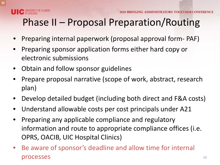

# Phase II – Proposal Preparation/Routing

- Preparing internal paperwork (proposal approval form- PAF)
- Preparing sponsor application forms either hard copy or electronic submissions
- Obtain and follow sponsor guidelines
- Prepare proposal narrative (scope of work, abstract, research plan)
- Develop detailed budget (including both direct and F&A costs)
- Understand allowable costs per cost principals under A21
- • Preparing any applicable compliance and regulatory information and route to appropriate compliance offices (i.e. OPRS, OACIB, UIC Hospital Clinics)
- Be aware of sponsor's deadline and allow time for internal processes and the set of the set of the set of the set of the set of the set of the set of the set of the set of the set of the set of the set of the set of the set of the set of the set of the set of the set of the set of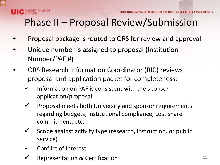

# Phase II – Proposal Review/Submission

- Proposal package is routed to ORS for review and approval
- Unique number is assigned to proposal (Institution Number/PAF #)
- ORS Research Information Coordinator (RIC) reviews proposal and application packet for completeness;
	- Information on PAF is consistent with the sponsor application/proposal
	- regarding budgets, institutional compliance, cost share  $\checkmark$  Proposal meets both University and sponsor requirements commitment, etc.
	- $\checkmark$  Scope against activity type (research, instruction, or public service)
	- Conflict of Interest
	- Representation & Certification 11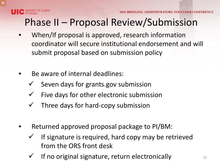# Phase II – Proposal Review/Submission

- coordinator will secure institutional endorsement and will When/If proposal is approved, research information submit proposal based on submission policy
- Be aware of internal deadlines:
	- Seven days for grants.gov submission
	- Five days for other electronic submission
	- Three days for hard-copy submission
- Returned approved proposal package to PI/BM:
	- If signature is required, hard copy may be retrieved from the ORS front desk
	- If no original signature, return electronically  $12$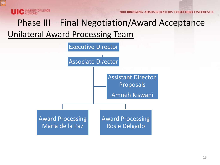

## Phase III – Final Negotiation/Award Acceptance Unilateral Award Processing Team

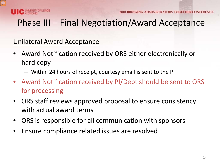

## Phase III – Final Negotiation/Award Acceptance

#### Unilateral Award Acceptance

- Award Notification received by ORS either electronically or hard copy
	- $-$  Within 24 hours of receipt, courtesy email is sent to the PI
- Award Notification received by PI/Dept should be sent to ORS for processing
- ORS staff reviews approved proposal to ensure consistency with actual award terms
- ORS is responsible for all communication with sponsors
- Ensure compliance related issues are resolved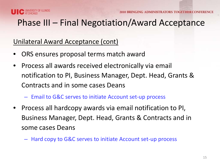

## Phase III – Final Negotiation/Award Acceptance

#### Unilateral Award Acceptance (cont)

- ORS ensures proposal terms match award
- • Process all awards received electronically via email Contracts and in some cases Deans notification to PI, Business Manager, Dept. Head, Grants &
	- Email to G&C serves to initiate Account set-up process
- Process all hardcopy awards via email notification to PI, Business Manager, Dept. Head, Grants & Contracts and in some cases Deans
	- Hard copy to G&C serves to initiate Account set-up process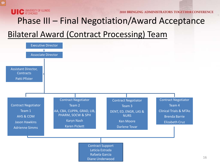

## Phase III – Final Negotiation/Award Acceptance

## Bilateral Award (Contract Processing) Team

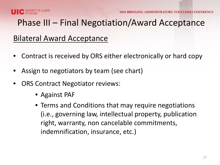

NG ADMINISTRATORS TOGETHER CONFEREN

## Phase III – Final Negotiation/Award Acceptance

#### Bilateral Award Acceptance

- Contract is received by ORS either electronically or hard copy
- Assign to negotiators by team (see chart)
- ORS Contract Negotiator reviews:
	- Against PAF
	- (i.e., governing law, intellectual property, publication right, warranty, non cancelable commitments, • Terms and Conditions that may require negotiations indemnification, insurance, etc.)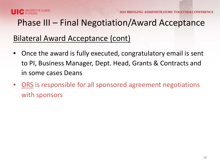

## Phase III – Final Negotiation/Award Acceptance

#### Bilateral Award Acceptance (cont)

- Once the award is fully executed, congratulatory email is sent to PI, Business Manager, Dept. Head, Grants & Contracts and in some cases Deans
- ORS is responsible for all sponsored agreement negotiations with sponsors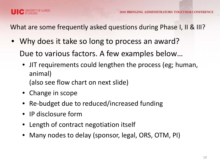

What are some frequently asked questions during Phase I, II & III?

- Why does it take so long to process an award? Due to various factors. A few examples below…
	- JIT requirements could lengthen the process (eg; human, animal) (also see flow chart on next slide)
	- Change in scope
	- Re-budget due to reduced/increased funding
	- IP disclosure form
	- Length of contract negotiation itself
	- Many nodes to delay (sponsor, legal, ORS, OTM, PI)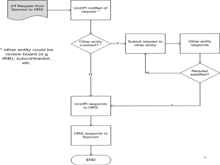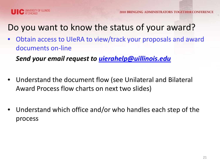



Do you want to know the status of your award?

 • Obtain access to UIeRA to view/track your proposals and award documents on-line

*Send your email request to [uierahelp@uillinois.edu](mailto:uierahelp@uillinois.edu)* 

- Understand the document flow (see Unilateral and Bilateral Award Process flow charts on next two slides)
- Understand which office and/or who handles each step of the process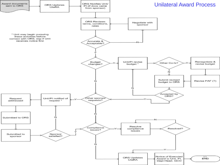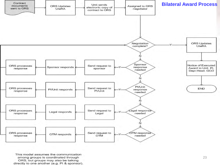

This model assumes the communication among groups Is coordinated through ORS, but groups may also be talking directly to one another (e.g. PI & sponsor).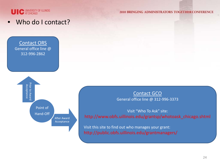

Who do I contact?

Contact ORS General office line @ 312-996-2862



Contact GCO General office line @ 312-996-3373

 Visit "Who To Ask" site: http://www.obfs.uillinois.edu/grantsp/whotoask\_chicago.shtml

 Visit this site to find out who manages your grant: http://public.obfs.uillinois.edu/grantmanagers/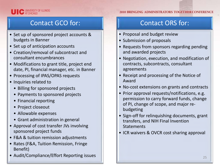

#### Contact GCO for:

- • Set up of sponsored project accounts & budgets in Banner
- Set up of anticipation accounts
- Creation/removal of subcontract and consultant encumbrances
- • Modifications to grant title, project end date, PI, financial manager, etc. in Banner
- Processing of IPAS/OPAS requests
- Inquiries related to
	- Billing for sponsored projects
	- Payments to sponsored projects
	- Financial reporting
	- Project closeout
	- Allowable expenses
	- Grant administration in general
- • Approval of cost transfer JVs involving sponsored project funds
- F&A & tuition remission adjustments
- • Rates (F&A, Tuition Remission, Fringe Benefit)
- Audit/Compliance/Effort Reporting issues

#### Contact ORS for:

- Proposal and budget review
- Submission of proposals
- Requests from sponsors regarding pending and awarded projects
- • Negotiation, execution, and modification of contracts, subcontracts, consultant agreements
- • Receipt and processing of the Notice of Award
- No-cost extensions on grants and contracts
- • Prior approval requests/notifications, e.g. of PI, change of scope, and major repermission to carry forward funds, change budgeting
- Sign-off for relinquishing documents, grant transfers, and NIH Final Invention **Statements**
- ICR waivers & OVCR cost sharing approval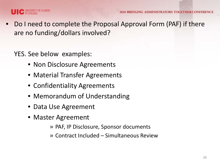

• Do I need to complete the Proposal Approval Form (PAF) if there are no funding/dollars involved?

YES. See below examples:

- Non Disclosure Agreements
- Material Transfer Agreements
- Confidentiality Agreements
- Memorandum of Understanding
- Data Use Agreement
- Master Agreement
	- » PAF, IP Disclosure, Sponsor documents
	- » Contract Included Simultaneous Review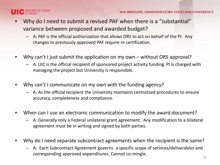

- Why do I need to submit a revised PAF when there is a "substantial" variance between proposed and awarded budget?
	- $-$  A: PAF is the official authorization that allows ORS to act on behalf of the PI. Any changes to previously approved PAF require re certification.
- Why can't I just submit the application on my own without ORS approval?
	- $-$  A: UIC is the official recipient of sponsored project activity funding. PI is charged with managing the project but University is responsible.
- Why can't I communicate on my own with the funding agency?
	- $-$  A: As the official recipient the University maintains centralized procedures to ensure accuracy, completeness and compliance.
- When can I use an electronic communication to modify the award document?
	- $-$  A: Generally only a Federal unilateral grant agreement. Any modification to a bilateral agreement must be in writing and signed by both parties.
- Why do I need separate subcontract agreements when the recipient is the same?
	- – A: Each Subcontract Agreement governs a specific scope of services/deliverables and corresponding approved expenditures. Cannot co-mingle. 27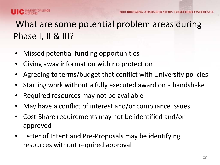# What are some potential problem areas during Phase I, II & III?

- Missed potential funding opportunities
- Giving away information with no protection
- • Agreeing to terms/budget that conflict with University policies
- Starting work without a fully executed award on a handshake
- Required resources may not be available
- May have a conflict of interest and/or compliance issues
- Cost-Share requirements may not be identified and/or approved
- Letter of Intent and Pre-Proposals may be identifying resources without required approval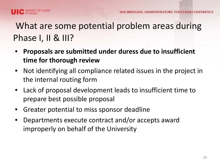

## What are some potential problem areas during Phase I, II & III?

- • **Proposals are submitted under duress due to insufficient time for thorough review**
- Not identifying all compliance related issues in the project in the internal routing form
- Lack of proposal development leads to insufficient time to prepare best possible proposal
- Greater potential to miss sponsor deadline
- Departments execute contract and/or accepts award improperly on behalf of the University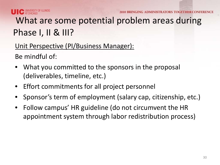

**INISTRATORS TOGETHER CO** 

## What are some potential problem areas during Phase I, II & III?

Unit Perspective (PI/Business Manager):

Be mindful of:

- What you committed to the sponsors in the proposal (deliverables, timeline, etc.)
- **Effort commitments for all project personnel**
- Sponsor's term of employment (salary cap, citizenship, etc.)
- • Follow campus' HR guideline (do not circumvent the HR appointment system through labor redistribution process)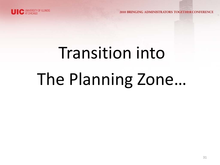

# Transition into The Planning Zone…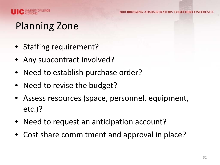

## Planning Zone

- Staffing requirement?
- Any subcontract involved?
- Need to establish purchase order?
- Need to revise the budget?
- Assess resources (space, personnel, equipment, etc.)?
- Need to request an anticipation account?
- Cost share commitment and approval in place?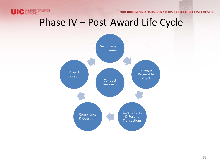

## Phase IV – Post-Award Life Cycle

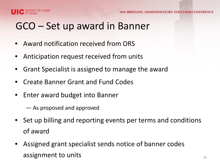



## GCO – Set up award in Banner

- Award notification received from ORS
- Anticipation request received from units
- • Grant Specialist is assigned to manage the award
- **Create Banner Grant and Fund Codes**
- Enter award budget into Banner
	- $-$  As proposed and approved
- • Set up billing and reporting events per terms and conditions of award
- • Assigned grant specialist sends notice of banner codes  $\overline{a}$  assignment to units  $\overline{a_4}$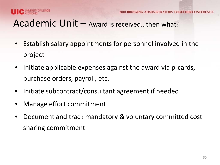

## Academic Unit – Award is received…then what?

- • Establish salary appointments for personnel involved in the project
- Initiate applicable expenses against the award via p-cards, purchase orders, payroll, etc.
- Initiate subcontract/consultant agreement if needed
- Manage effort commitment
- • Document and track mandatory & voluntary committed cost sharing commitment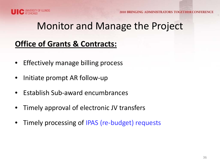

## Monitor and Manage the Project

#### **Office of Grants & Contracts:**

- Effectively manage billing process
- Initiate prompt AR follow-up
- Establish Sub-award encumbrances
- Timely approval of electronic JV transfers
- Timely processing of IPAS (re-budget) requests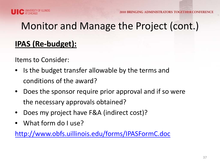



## **IPAS (Re-budget):**

Items to Consider:

- • Is the budget transfer allowable by the terms and conditions of the award?
- Does the sponsor require prior approval and if so were the necessary approvals obtained?
- Does my project have F&A (indirect cost)?
- What form do I use?

http://www.obfs.uillinois.edu/forms/IPASFormC.doc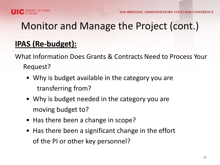



## **IPAS (Re-budget):**

 What Information Does Grants & Contracts Need to Process Your Request?

- Why is budget available in the category you are transferring from?
- Why is budget needed in the category you are moving budget to?
- Has there been a change in scope?
- Has there been a significant change in the effort of the PI or other key personnel?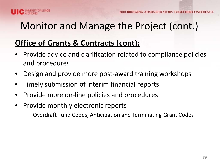

#### **Office of Grants & Contracts (cont):**

- • Provide advice and clarification related to compliance policies and procedures
- Design and provide more post-award training workshops
- • Timely submission of interim financial reports
- Provide more on-line policies and procedures
- • Provide monthly electronic reports
	- Overdraft Fund Codes, Anticipation and Terminating Grant Codes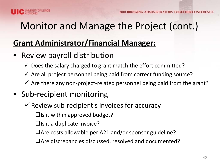

#### **Grant Administrator/Financial Manager:**

- Review payroll distribution
	- $\checkmark$  Does the salary charged to grant match the effort committed?
	- $\checkmark$  Are all project personnel being paid from correct funding source?
	- $\checkmark$  Are there any non-project-related personnel being paid from the grant?

## • Sub-recipient monitoring

- $\checkmark$  Review sub-recipient's invoices for accuracy
	- $\Box$  Is it within approved budget?
	- $\Box$  Is it a duplicate invoice?
	- Are costs allowable per A21 and/or sponsor guideline?
	- Are discrepancies discussed, resolved and documented?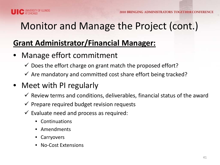

#### **Grant Administrator/Financial Manager:**

- Manage effort commitment
	- $\checkmark$  Does the effort charge on grant match the proposed effort?
	- $\checkmark$  Are mandatory and committed cost share effort being tracked?

#### • Meet with PI regularly

- $\checkmark$  Review terms and conditions, deliverables, financial status of the award
- $\checkmark$  Prepare required budget revision requests
- $\checkmark$  Evaluate need and process as required:
	- **Continuations**
	- Amendments
	- Carryovers
	- No-Cost Extensions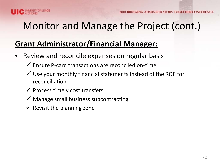

### **Grant Administrator/Financial Manager:**

- Review and reconcile expenses on regular basis
	- $\checkmark$  Ensure P-card transactions are reconciled on-time
	- $\checkmark$  Use your monthly financial statements instead of the ROE for reconciliation
	- $\checkmark$  Process timely cost transfers
	- $\checkmark$  Manage small business subcontracting
	- $\checkmark$  Revisit the planning zone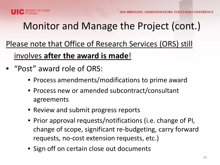

## Please note that Office of Research Services (ORS) still involves **after the award is made**!

- • "Post" award role of ORS:
	- Process amendments/modifications to prime award
	- Process new or amended subcontract/consultant agreements
	- Review and submit progress reports
	- Prior approval requests/notifications (i.e. change of PI, change of scope, significant re-budgeting, carry forward requests, no-cost extension requests, etc.)
	- Sign off on certain close out documents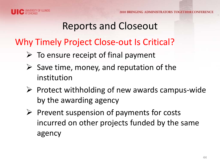

## Reports and Closeout

## Why Timely Project Close-out Is Critical?

- $\triangleright$  To ensure receipt of final payment
- $\triangleright$  Save time, money, and reputation of the institution
- $\triangleright$  Protect withholding of new awards campus-wide by the awarding agency
- $\triangleright$  Prevent suspension of payments for costs incurred on other projects funded by the same agency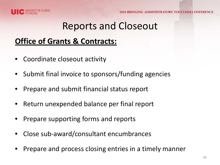

IG ADMINISTRATORS TOGETHER CONF

## Reports and Closeout

#### **Office of Grants & Contracts:**

- Coordinate closeout activity
- Submit final invoice to sponsors/funding agencies
- Prepare and submit financial status report
- Return unexpended balance per final report
- Prepare supporting forms and reports
- Close sub-award/consultant encumbrances
- Prepare and process closing entries in a timely manner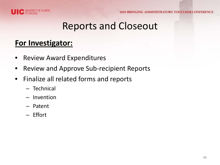

## Reports and Closeout

#### **For Investigator:**

- Review Award Expenditures
- Review and Approve Sub-recipient Reports
- • Finalize all related forms and reports
	- Technical
	- Invention
	- Patent
	- Effort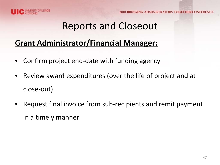

## Reports and Closeout

#### **Grant Administrator/Financial Manager:**

- Confirm project end-date with funding agency
- Review award expenditures (over the life of project and at close-out)
- Request final invoice from sub-recipients and remit payment in a timely manner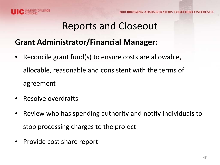

## Reports and Closeout

#### **Grant Administrator/Financial Manager:**

- Reconcile grant fund(s) to ensure costs are allowable, allocable, reasonable and consistent with the terms of agreement
- Resolve overdrafts
- stop processing charges to the project Review who has spending authority and notify individuals to
- Provide cost share report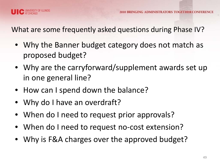

What are some frequently asked questions during Phase IV?

- Why the Banner budget category does not match as proposed budget?
- Why are the carryforward/supplement awards set up in one general line?
- How can I spend down the balance?
- Why do I have an overdraft?
- When do I need to request prior approvals?
- When do I need to request no-cost extension?
- Why is F&A charges over the approved budget?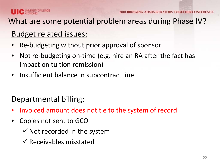

#### What are some potential problem areas during Phase IV?

#### Budget related issues:

- Re-budgeting without prior approval of sponsor
- Not re-budgeting on-time (e.g. hire an RA after the fact has impact on tuition remission)
- Insufficient balance in subcontract line

#### Departmental billing:

- Invoiced amount does not tie to the system of record
- Copies not sent to GCO
	- $\checkmark$  Not recorded in the system
	- $\checkmark$  Receivables misstated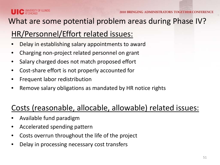

#### What are some potential problem areas during Phase IV?

## HR/Personnel/Effort related issues:

- Delay in establishing salary appointments to award
- Charging non-project related personnel on grant
- Salary charged does not match proposed effort
- Cost-share effort is not properly accounted for
- Frequent labor redistribution
- Remove salary obligations as mandated by HR notice rights

#### Costs (reasonable, allocable, allowable) related issues:

- Available fund paradigm
- Accelerated spending pattern
- Costs overrun throughout the life of the project
- Delay in processing necessary cost transfers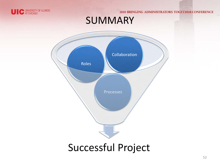

## SUMMARY